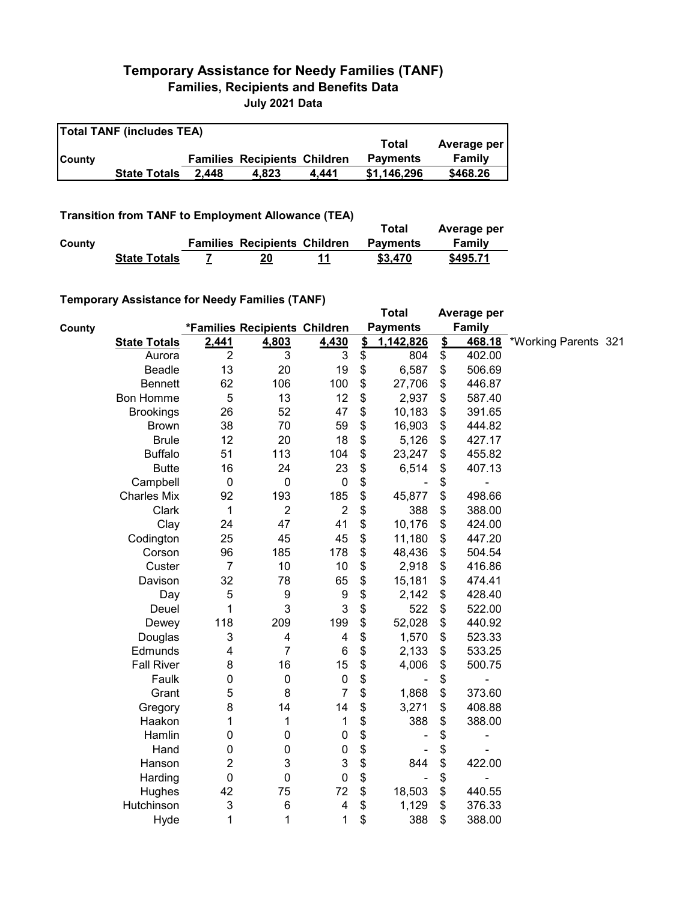## **Temporary Assistance for Needy Families (TANF) Families, Recipients and Benefits Data**

**July 2021 Data**

| <b>Total TANF (includes TEA)</b> |                     |       |                                     |       |                 |             |  |  |  |
|----------------------------------|---------------------|-------|-------------------------------------|-------|-----------------|-------------|--|--|--|
|                                  |                     |       |                                     |       | Total           | Average per |  |  |  |
| <b>County</b>                    |                     |       | <b>Families Recipients Children</b> |       | <b>Payments</b> | Family      |  |  |  |
|                                  | <b>State Totals</b> | 2.448 | 4.823                               | 4.441 | \$1.146.296     | \$468.26    |  |  |  |

**Transition from TANF to Employment Allowance (TEA)**

|        | <b>I AUSINON NON LANE TO EMPLOYMENT ANOWANCE LEAP</b> |                                     |    | Total           | Average per |
|--------|-------------------------------------------------------|-------------------------------------|----|-----------------|-------------|
| County |                                                       | <b>Families Recipients Children</b> |    | <b>Payments</b> | Family      |
|        | <b>State Totals</b>                                   | 20                                  | 11 | \$3,470         | \$495.71    |

## **Temporary Assistance for Needy Families (TANF)**

|        | $1$ chiporary Assistance for Necay Families (TANT) |                           |                               |                  |                           | <b>Total</b>                 |                           | Average per    |                      |  |
|--------|----------------------------------------------------|---------------------------|-------------------------------|------------------|---------------------------|------------------------------|---------------------------|----------------|----------------------|--|
| County |                                                    |                           | *Families Recipients Children |                  |                           | <b>Payments</b>              |                           | Family         |                      |  |
|        | <b>State Totals</b>                                | 2,441                     | 4,803                         | 4,430            | $\mathbf{\underline{\$}}$ | 1,142,826                    | $\mathbf{\underline{\$}}$ | 468.18         | *Working Parents 321 |  |
|        | Aurora                                             | $\overline{2}$            | 3                             | 3                | \$                        | 804                          | \$                        | 402.00         |                      |  |
|        | <b>Beadle</b>                                      | 13                        | 20                            | 19               | \$                        | 6,587                        | \$                        | 506.69         |                      |  |
|        | <b>Bennett</b>                                     | 62                        | 106                           | 100              | \$                        | 27,706                       | \$                        | 446.87         |                      |  |
|        | <b>Bon Homme</b>                                   | 5                         | 13                            | 12               | \$                        | 2,937                        | \$                        | 587.40         |                      |  |
|        | <b>Brookings</b>                                   | 26                        | 52                            | 47               | \$                        | 10,183                       | \$                        | 391.65         |                      |  |
|        | <b>Brown</b>                                       | 38                        | 70                            | 59               | \$                        | 16,903                       | \$                        | 444.82         |                      |  |
|        | <b>Brule</b>                                       | 12                        | 20                            | 18               | \$                        | 5,126                        | \$                        | 427.17         |                      |  |
|        | <b>Buffalo</b>                                     | 51                        | 113                           | 104              | \$                        | 23,247                       | \$                        | 455.82         |                      |  |
|        | <b>Butte</b>                                       | 16                        | 24                            | 23               | \$                        | 6,514                        | \$                        | 407.13         |                      |  |
|        | Campbell                                           | $\mathbf 0$               | $\mathbf 0$                   | $\pmb{0}$        | \$                        |                              | \$                        | -              |                      |  |
|        | <b>Charles Mix</b>                                 | 92                        | 193                           | 185              | \$                        | 45,877                       | \$                        | 498.66         |                      |  |
|        | Clark                                              | 1                         | $\overline{c}$                | $\overline{2}$   | \$                        | 388                          | \$                        | 388.00         |                      |  |
|        | Clay                                               | 24                        | 47                            | 41               | \$                        | 10,176                       | \$                        | 424.00         |                      |  |
|        | Codington                                          | 25                        | 45                            | 45               | \$                        | 11,180                       | \$                        | 447.20         |                      |  |
|        | Corson                                             | 96                        | 185                           | 178              | \$                        | 48,436                       | \$                        | 504.54         |                      |  |
|        | Custer                                             | $\overline{7}$            | 10                            | 10               | \$                        | 2,918                        | \$                        | 416.86         |                      |  |
|        | Davison                                            | 32                        | 78                            | 65               | \$                        | 15,181                       | \$                        | 474.41         |                      |  |
|        | Day                                                | 5                         | $\boldsymbol{9}$              | $\boldsymbol{9}$ | \$                        | 2,142                        | \$                        | 428.40         |                      |  |
|        | Deuel                                              | 1                         | 3                             | 3                | \$                        | 522                          | \$                        | 522.00         |                      |  |
|        | Dewey                                              | 118                       | 209                           | 199              | \$                        | 52,028                       | \$                        | 440.92         |                      |  |
|        | Douglas                                            | $\ensuremath{\mathsf{3}}$ | 4                             | 4                | \$                        | 1,570                        | \$                        | 523.33         |                      |  |
|        | Edmunds                                            | 4                         | $\overline{7}$                | $\,6$            | \$                        | 2,133                        | \$                        | 533.25         |                      |  |
|        | <b>Fall River</b>                                  | 8                         | 16                            | 15               | \$                        | 4,006                        | \$                        | 500.75         |                      |  |
|        | Faulk                                              | 0                         | $\pmb{0}$                     | $\pmb{0}$        | \$                        |                              | \$                        | -              |                      |  |
|        | Grant                                              | 5                         | 8                             | $\overline{7}$   | \$                        | 1,868                        | \$                        | 373.60         |                      |  |
|        | Gregory                                            | 8                         | 14                            | 14               | \$                        | 3,271                        | \$                        | 408.88         |                      |  |
|        | Haakon                                             | 1                         | 1                             | 1                | \$                        | 388                          | \$                        | 388.00         |                      |  |
|        | Hamlin                                             | 0                         | $\pmb{0}$                     | $\pmb{0}$        | \$                        |                              | \$                        | $\blacksquare$ |                      |  |
|        | Hand                                               | 0                         | $\pmb{0}$                     | 0                | \$                        |                              | \$                        |                |                      |  |
|        | Hanson                                             | 2                         | 3                             | 3                | \$                        | 844                          | \$                        | 422.00         |                      |  |
|        | Harding                                            | $\mathbf 0$               | $\mathbf 0$                   | 0                | \$                        | $\qquad \qquad \blacksquare$ | \$                        | -              |                      |  |
|        | Hughes                                             | 42                        | 75                            | 72               | \$                        | 18,503                       | \$                        | 440.55         |                      |  |
|        | Hutchinson                                         | 3                         | 6                             | 4                | \$                        | 1,129                        | \$                        | 376.33         |                      |  |
|        | Hyde                                               | 1                         | 1                             | 1                | \$                        | 388                          | \$                        | 388.00         |                      |  |